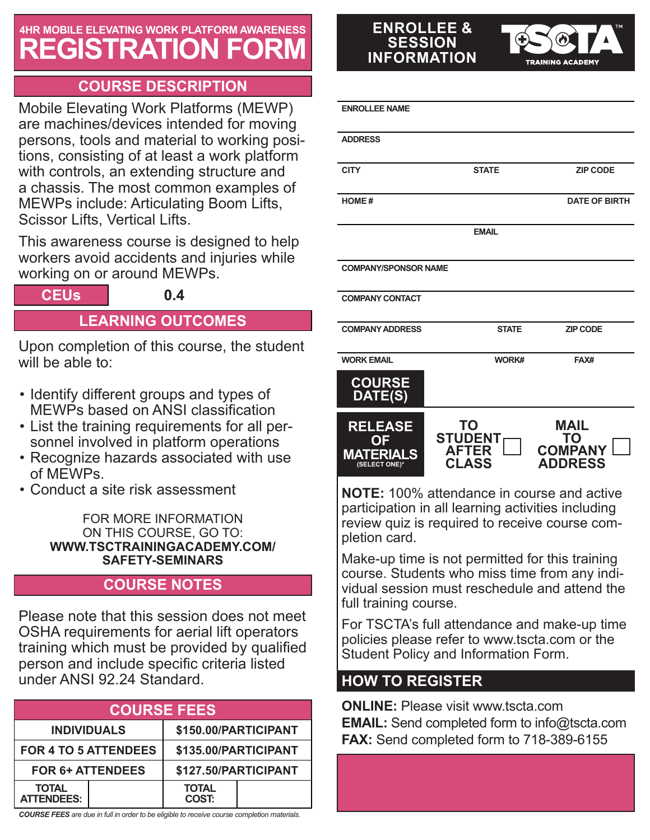## **4HR MOBILE ELEVATING WORK PLATFORM AWARENESS REGISTRATION FORM**

## **COURSE DESCRIPTION**

Mobile Elevating Work Platforms (MEWP) are machines/devices intended for moving persons, tools and material to working positions, consisting of at least a work platform with controls, an extending structure and a chassis. The most common examples of MEWPs include: Articulating Boom Lifts, Scissor Lifts, Vertical Lifts.

This awareness course is designed to help workers avoid accidents and injuries while working on or around MEWPs.

**CEUs 0.4**

## **LEARNING OUTCOMES**

Upon completion of this course, the student will be able to:

- Identify different groups and types of MEWPs based on ANSI classification
- List the training requirements for all personnel involved in platform operations
- Recognize hazards associated with use of MEWPs.
- Conduct a site risk assessment

FOR MORE INFORMATION ON THIS COURSE, GO TO: **WWW.TSCTRAININGACADEMY.COM/ SAFETY-SEMINARS**

## **COURSE NOTES**

Please note that this session does not meet OSHA requirements for aerial lift operators training which must be provided by qualified person and include specific criteria listed under ANSI 92.24 Standard.

| <b>COURSE FEES</b>                |  |                              |  |  |
|-----------------------------------|--|------------------------------|--|--|
| <b>INDIVIDUALS</b>                |  | \$150.00/PARTICIPANT         |  |  |
| <b>FOR 4 TO 5 ATTENDEES</b>       |  | \$135.00/PARTICIPANT         |  |  |
| <b>FOR 6+ ATTENDEES</b>           |  | \$127.50/PARTICIPANT         |  |  |
| <b>TOTAL</b><br><b>ATTENDEES:</b> |  | <b>TOTAL</b><br><b>COST:</b> |  |  |

*COURSE FEES are due in full in order to be eligible to receive course completion materials.*

#### **ENROLLEE & SESSION INFORMATION**

**RAINING ACADEM** 

| <b>ENROLLEE NAME</b>                                      |                                                             |                                                       |
|-----------------------------------------------------------|-------------------------------------------------------------|-------------------------------------------------------|
| <b>ADDRESS</b>                                            |                                                             |                                                       |
| <b>CITY</b>                                               | <b>STATE</b>                                                | <b>ZIP CODE</b>                                       |
| <b>HOME#</b>                                              |                                                             | <b>DATE OF BIRTH</b>                                  |
|                                                           | <b>EMAIL</b>                                                |                                                       |
| <b>COMPANY/SPONSOR NAME</b>                               |                                                             |                                                       |
| <b>COMPANY CONTACT</b>                                    |                                                             |                                                       |
| <b>COMPANY ADDRESS</b>                                    | <b>STATE</b>                                                | <b>ZIP CODE</b>                                       |
| <b>WORK EMAIL</b>                                         | WORK#                                                       | FAX#                                                  |
| <b>COURSE</b><br>DATE(S)                                  |                                                             |                                                       |
| <b>RELEASE</b><br>OΕ<br><b>MATERIALS</b><br>(SELECT ONE)* | <b>TO</b><br><b>STUDENT</b><br><b>AFTER</b><br><b>CLASS</b> | <b>MAIL</b><br>TO<br><b>COMPANY</b><br><b>ADDRESS</b> |

**NOTE:** 100% attendance in course and active participation in all learning activities including review quiz is required to receive course completion card.

Make-up time is not permitted for this training course. Students who miss time from any individual session must reschedule and attend the full training course.

For TSCTA's full attendance and make-up time policies please refer to www.tscta.com or the Student Policy and Information Form.

## **HOW TO REGISTER**

**ONLINE:** Please visit www.tscta.com **EMAIL:** Send completed form to info@tscta.com **FAX:** Send completed form to 718-389-6155